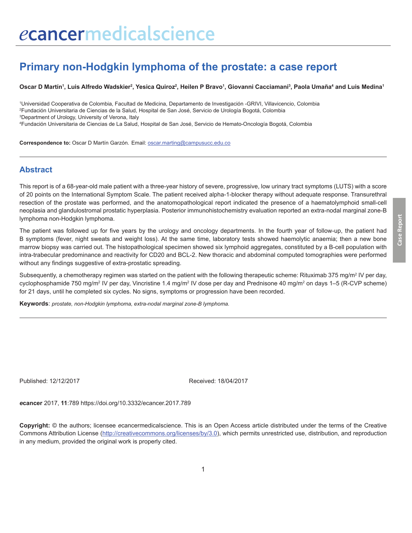# **Primary non-Hodgkin lymphoma of the prostate: a case report**

Oscar D Martín', Luis Alfredo Wadskier<sup>2</sup>, Yesica Quiroz<sup>2</sup>, Heilen P Bravo<sup>1</sup>, Giovanni Cacciamani<sup>3</sup>, Paola Umaña<del>'</del> and Luis Medina'

 Universidad Cooperativa de Colombia, Facultad de Medicina, Departamento de Investigación -GRIVI, Villavicencio, Colombia Fundación Universitaria de Ciencias de la Salud, Hospital de San José, Servicio de Urología Bogotá, Colombia Department of Urology, University of Verona, Italy Fundación Universitaria de Ciencias de La Salud, Hospital de San José, Servicio de Hemato-Oncología Bogotá, Colombia

**Correspondence to:** Oscar D Martín Garzón. Email: oscar.marting@campusucc.edu.co

#### **Abstract**

This report is of a 68-year-old male patient with a three-year history of severe, progressive, low urinary tract symptoms (LUTS) with a score of 20 points on the International Symptom Scale. The patient received alpha-1-blocker therapy without adequate response. Transurethral resection of the prostate was performed, and the anatomopathological report indicated the presence of a haematolymphoid small-cell neoplasia and glandulostromal prostatic hyperplasia. Posterior immunohistochemistry evaluation reported an extra-nodal marginal zone-B lymphoma non-Hodgkin lymphoma.

The patient was followed up for five years by the urology and oncology departments. In the fourth year of follow-up, the patient had B symptoms (fever, night sweats and weight loss). At the same time, laboratory tests showed haemolytic anaemia; then a new bone marrow biopsy was carried out. The histopathological specimen showed six lymphoid aggregates, constituted by a B-cell population with intra-trabecular predominance and reactivity for CD20 and BCL-2. New thoracic and abdominal computed tomographies were performed without any findings suggestive of extra-prostatic spreading.

Subsequently, a chemotherapy regimen was started on the patient with the following therapeutic scheme: Rituximab 375 mg/m<sup>2</sup> IV per day, cyclophosphamide 750 mg/m<sup>2</sup> IV per day, Vincristine 1.4 mg/m<sup>2</sup> IV dose per day and Prednisone 40 mg/m<sup>2</sup> on days 1–5 (R-CVP scheme) for 21 days, until he completed six cycles. No signs, symptoms or progression have been recorded.

**Keywords**: *prostate, non-Hodgkin lymphoma, extra-nodal marginal zone-B lymphoma.*

Published: 12/12/2017 Received: 18/04/2017

*e***cancer** 2017, **11**:789 https://doi.org/10.3332/ecancer.2017.789

**Copyright:** © the authors; licensee *e*cancermedicalscience. This is an Open Access article distributed under the terms of the Creative Commons Attribution License (http://creativecommons.org/licenses/by/3.0), which permits unrestricted use, distribution, and reproduction in any medium, provided the original work is properly cited.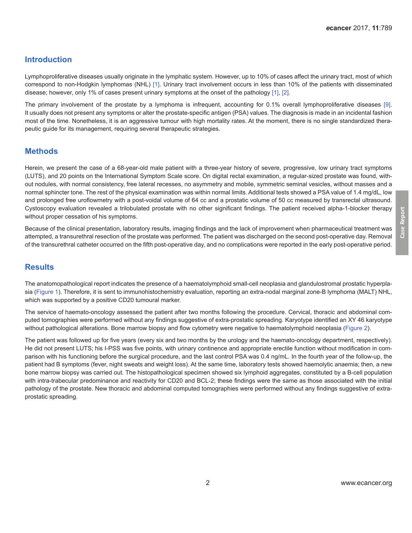### **Introduction**

Lymphoproliferative diseases usually originate in the lymphatic system. However, up to 10% of cases affect the urinary tract, most of which correspond to non-Hodgkin lymphomas (NHL) [\[1\]](#page-4-0). Urinary tract involvement occurs in less than 10% of the patients with disseminated disease; however, only 1% of cases present urinary symptoms at the onset of the pathology [\[1\]](#page-4-0), [\[2\]](#page-4-0).

The primary involvement of the prostate by a lymphoma is infrequent, accounting for 0.1% overall lymphoproliferative diseases [\[9\]](#page-5-0). It usually does not present any symptoms or alter the prostate-specific antigen (PSA) values. The diagnosis is made in an incidental fashion most of the time. Nonetheless, it is an aggressive tumour with high mortality rates. At the moment, there is no single standardized therapeutic guide for its management, requiring several therapeutic strategies.

#### **Methods**

Herein, we present the case of a 68-year-old male patient with a three-year history of severe, progressive, low urinary tract symptoms (LUTS), and 20 points on the International Symptom Scale score. On digital rectal examination, a regular-sized prostate was found, without nodules, with normal consistency, free lateral recesses, no asymmetry and mobile, symmetric seminal vesicles, without masses and a normal sphincter tone. The rest of the physical examination was within normal limits. Additional tests showed a PSA value of 1.4 mg/dL, low and prolonged free uroflowmetry with a post-voidal volume of 64 cc and a prostatic volume of 50 cc measured by transrectal ultrasound. Cystoscopy evaluation revealed a trilobulated prostate with no other significant findings. The patient received alpha-1-blocker therapy without proper cessation of his symptoms.

Because of the clinical presentation, laboratory results, imaging findings and the lack of improvement when pharmaceutical treatment was attempted, a transurethral resection of the prostate was performed. The patient was discharged on the second post-operative day. Removal of the transurethral catheter occurred on the fifth post-operative day, and no complications were reported in the early post-operative period.

#### **Results**

The anatomopathological report indicates the presence of a haematolymphoid small-cell neoplasia and glandulostromal prostatic hyperplasia ([Figure 1\)](#page-2-0). Therefore, it is sent to immunohistochemistry evaluation, reporting an extra-nodal marginal zone-B lymphoma (MALT) NHL, which was supported by a positive CD20 tumoural marker.

The service of haemato-oncology assessed the patient after two months following the procedure. Cervical, thoracic and abdominal computed tomographies were performed without any findings suggestive of extra-prostatic spreading. Karyotype identified an XY 46 karyotype without pathological alterations. Bone marrow biopsy and flow cytometry were negative to haematolymphoid neoplasia [\(Figure 2](#page-2-0)).

The patient was followed up for five years (every six and two months by the urology and the haemato-oncology department, respectively). He did not present LUTS; his I-PSS was five points, with urinary continence and appropriate erectile function without modification in comparison with his functioning before the surgical procedure, and the last control PSA was 0.4 ng/mL. In the fourth year of the follow-up, the patient had B symptoms (fever, night sweats and weight loss). At the same time, laboratory tests showed haemolytic anaemia; then, a new bone marrow biopsy was carried out. The histopathological specimen showed six lymphoid aggregates, constituted by a B-cell population with intra-trabecular predominance and reactivity for CD20 and BCL-2; these findings were the same as those associated with the initial pathology of the prostate. New thoracic and abdominal computed tomographies were performed without any findings suggestive of extraprostatic spreading.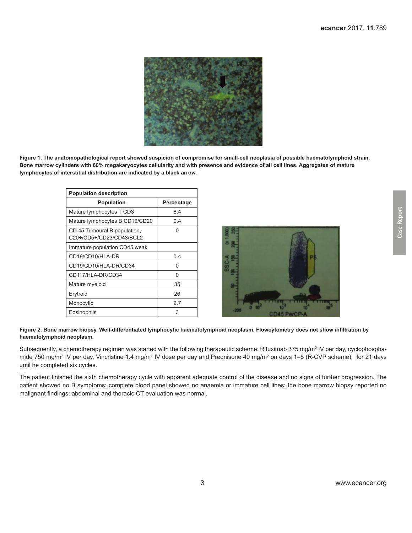<span id="page-2-0"></span>

**Figure 1. The anatomopathological report showed suspicion of compromise for small-cell neoplasia of possible haematolymphoid strain. Bone marrow cylinders with 60% megakaryocytes cellularity and with presence and evidence of all cell lines. Aggregates of mature lymphocytes of interstitial distribution are indicated by a black arrow.**

| <b>Population description</b>                            |            |  |  |  |  |  |
|----------------------------------------------------------|------------|--|--|--|--|--|
| <b>Population</b>                                        | Percentage |  |  |  |  |  |
| Mature lymphocytes T CD3                                 | 8.4        |  |  |  |  |  |
| Mature lymphocytes B CD19/CD20                           | 04         |  |  |  |  |  |
| CD 45 Tumoural B population,<br>C20+/CD5+/CD23/CD43/BCL2 | 0          |  |  |  |  |  |
| Immature population CD45 weak                            |            |  |  |  |  |  |
| CD19/CD10/HLA-DR                                         | 0.4        |  |  |  |  |  |
| CD19/CD10/HLA-DR/CD34                                    | 0          |  |  |  |  |  |
| CD117/HLA-DR/CD34                                        | O          |  |  |  |  |  |
| Mature myeloid                                           | 35         |  |  |  |  |  |
| Erytroid                                                 | 26         |  |  |  |  |  |
| Monocytic                                                | 27         |  |  |  |  |  |
| Eosinophils                                              | 3          |  |  |  |  |  |



#### **Figure 2. Bone marrow biopsy. Well-differentiated lymphocytic haematolymphoid neoplasm. Flowcytometry does not show infiltration by haematolymphoid neoplasm.**

Subsequently, a chemotherapy regimen was started with the following therapeutic scheme: Rituximab 375 mg/m² IV per day, cyclophosphamide 750 mg/m<sup>2</sup> IV per day, Vincristine 1.4 mg/m<sup>2</sup> IV dose per day and Prednisone 40 mg/m<sup>2</sup> on days 1–5 (R-CVP scheme), for 21 days until he completed six cycles.

The patient finished the sixth chemotherapy cycle with apparent adequate control of the disease and no signs of further progression. The patient showed no B symptoms; complete blood panel showed no anaemia or immature cell lines; the bone marrow biopsy reported no malignant findings; abdominal and thoracic CT evaluation was normal.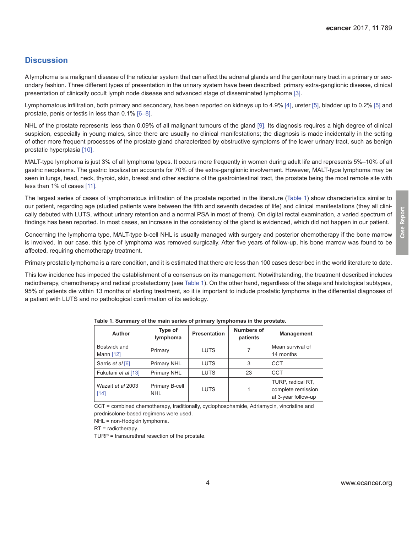### **Discussion**

A lymphoma is a malignant disease of the reticular system that can affect the adrenal glands and the genitourinary tract in a primary or secondary fashion. Three different types of presentation in the urinary system have been described: primary extra-ganglionic disease, clinical presentation of clinically occult lymph node disease and advanced stage of disseminated lymphoma [\[3\].](#page-4-0)

Lymphomatous infiltration, both primary and secondary, has been reported on kidneys up to 4.9% [\[4\]](#page-4-0), ureter [\[5\],](#page-4-0) bladder up to 0.2% [\[5\]](#page-4-0) and prostate, penis or testis in less than 0.1% [\[6–8\].](#page-5-0)

NHL of the prostate represents less than 0.09% of all malignant tumours of the gland [\[9\].](#page-5-0) Its diagnosis requires a high degree of clinical suspicion, especially in young males, since there are usually no clinical manifestations; the diagnosis is made incidentally in the setting of other more frequent processes of the prostate gland characterized by obstructive symptoms of the lower urinary tract, such as benign prostatic hyperplasia [\[10\]](#page-5-0).

MALT-type lymphoma is just 3% of all lymphoma types. It occurs more frequently in women during adult life and represents 5%–10% of all gastric neoplasms. The gastric localization accounts for 70% of the extra-ganglionic involvement. However, MALT-type lymphoma may be seen in lungs, head, neck, thyroid, skin, breast and other sections of the gastrointestinal tract, the prostate being the most remote site with less than 1% of cases [\[11\]](#page-5-0).

The largest series of cases of lymphomatous infiltration of the prostate reported in the literature (Table 1) show characteristics similar to our patient, regarding age (studied patients were between the fifth and seventh decades of life) and clinical manifestations (they all clinically debuted with LUTS, without urinary retention and a normal PSA in most of them). On digital rectal examination, a varied spectrum of findings has been reported. In most cases, an increase in the consistency of the gland is evidenced, which did not happen in our patient.

Concerning the lymphoma type, MALT-type b-cell NHL is usually managed with surgery and posterior chemotherapy if the bone marrow is involved. In our case, this type of lymphoma was removed surgically. After five years of follow-up, his bone marrow was found to be affected, requiring chemotherapy treatment.

Primary prostatic lymphoma is a rare condition, and it is estimated that there are less than 100 cases described in the world literature to date.

This low incidence has impeded the establishment of a consensus on its management. Notwithstanding, the treatment described includes radiotherapy, chemotherapy and radical prostatectomy (see Table 1). On the other hand, regardless of the stage and histological subtypes, 95% of patients die within 13 months of starting treatment, so it is important to include prostatic lymphoma in the differential diagnoses of a patient with LUTS and no pathological confirmation of its aetiology.

| Author                    | Type of<br>lymphoma          | <b>Presentation</b> | <b>Numbers of</b><br>patients | <b>Management</b>                                              |  |
|---------------------------|------------------------------|---------------------|-------------------------------|----------------------------------------------------------------|--|
| Bostwick and<br>Mann [12] | Primary                      | <b>LUTS</b>         |                               | Mean survival of<br>14 months                                  |  |
| Sarris et al [6]          | Primary NHL                  | <b>LUTS</b>         | 3                             | <b>CCT</b>                                                     |  |
| Fukutani et al [13]       | Primary NHL                  | <b>LUTS</b>         | 23                            | <b>CCT</b>                                                     |  |
| Wazait et al 2003<br>[14] | Primary B-cell<br><b>NHL</b> | <b>LUTS</b>         |                               | TURP, radical RT,<br>complete remission<br>at 3-year follow-up |  |

|  |  |  |  |  |  | Table 1. Summary of the main series of primary lymphomas in the prostate. |
|--|--|--|--|--|--|---------------------------------------------------------------------------|
|--|--|--|--|--|--|---------------------------------------------------------------------------|

CCT = combined chemotherapy, traditionally, cyclophosphamide, Adriamycin, vincristine and prednisolone-based regimens were used.

NHL = non-Hodgkin lymphoma.

RT = radiotherapy.

TURP = transurethral resection of the prostate.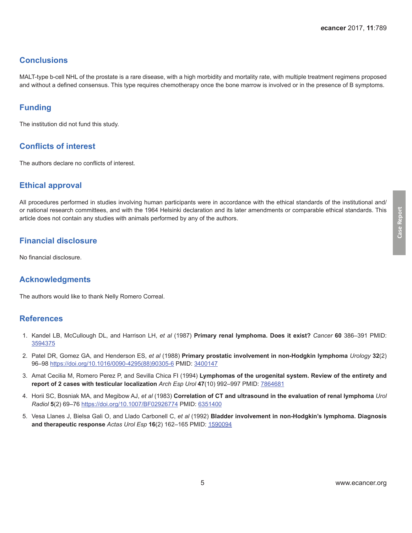### <span id="page-4-0"></span>**Conclusions**

MALT-type b-cell NHL of the prostate is a rare disease, with a high morbidity and mortality rate, with multiple treatment regimens proposed and without a defined consensus. This type requires chemotherapy once the bone marrow is involved or in the presence of B symptoms.

## **Funding**

The institution did not fund this study.

### **Conflicts of interest**

The authors declare no conflicts of interest.

### **Ethical approval**

All procedures performed in studies involving human participants were in accordance with the ethical standards of the institutional and/ or national research committees, and with the 1964 Helsinki declaration and its later amendments or comparable ethical standards. This article does not contain any studies with animals performed by any of the authors.

### **Financial disclosure**

No financial disclosure.

#### **Acknowledgments**

The authors would like to thank Nelly Romero Correal.

#### **References**

- 1. Kandel LB, McCullough DL, and Harrison LH, *et al* (1987) **Primary renal lymphoma. Does it exist?** *Cancer* **60** 386–391 PMID: [3594375](http://www.ncbi.nlm.nih.gov/pubmed/3594375)
- 2. Patel DR, Gomez GA, and Henderson ES, *et al* (1988) **Primary prostatic involvement in non-Hodgkin lymphoma** *Urology* **32**(2) 96–98 [https://doi.org/10.1016/0090-4295\(88\)90305-6](https://doi.org/10.1016/0090-4295(88)90305-6) PMID: [3400147](http://www.ncbi.nlm.nih.gov/pubmed/3400147)
- 3. Amat Cecilia M, Romero Perez P, and Sevilla Chica FI (1994) **Lymphomas of the urogenital system. Review of the entirety and report of 2 cases with testicular localization** *Arch Esp Urol* **47**(10) 992–997 PMID: [7864681](http://www.ncbi.nlm.nih.gov/pubmed/7864681)
- 4. Horii SC, Bosniak MA, and Megibow AJ, *et al* (1983) **Correlation of CT and ultrasound in the evaluation of renal lymphoma** *Urol Radiol* **5**(2) 69–76<https://doi.org/10.1007/BF02926774>PMID: [6351400](http://www.ncbi.nlm.nih.gov/pubmed/6351400)
- 5. Vesa Llanes J, Bielsa Gali O, and Llado Carbonell C, *et al* (1992) **Bladder involvement in non-Hodgkin's lymphoma. Diagnosis and therapeutic response** *Actas Urol Esp* **16**(2) 162–165 PMID: [1590094](http://www.ncbi.nlm.nih.gov/pubmed/1590094)